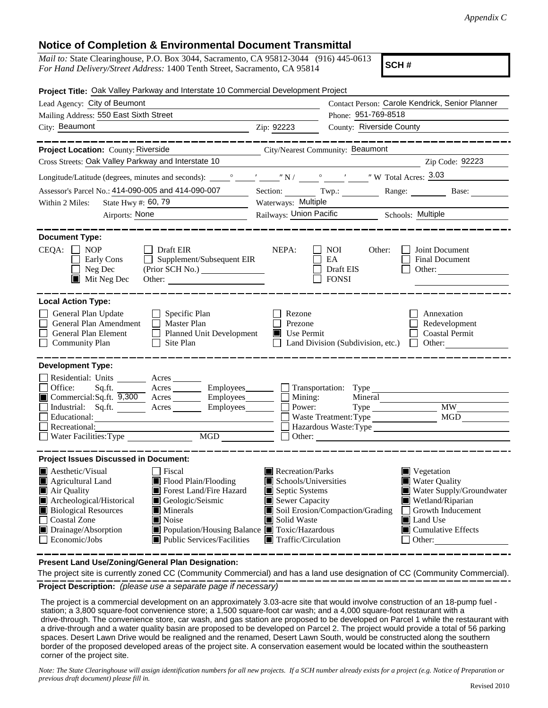## **Notice of Completion & Environmental Document Transmittal**

| <i>Mail to:</i> State Clearinghouse, P.O. Box 3044, Sacramento, CA 95812-3044 (916) 445-0613 |  |
|----------------------------------------------------------------------------------------------|--|
| For Hand Delivery/Street Address: 1400 Tenth Street, Sacramento, CA 95814                    |  |

**SCH #**

| Project Title: Oak Valley Parkway and Interstate 10 Commercial Development Project                                                                                                                                                                                                                                                                                                                                                                                            |                                                                                                                                                  |                                                        |                                                                                                                                                                                                   |  |
|-------------------------------------------------------------------------------------------------------------------------------------------------------------------------------------------------------------------------------------------------------------------------------------------------------------------------------------------------------------------------------------------------------------------------------------------------------------------------------|--------------------------------------------------------------------------------------------------------------------------------------------------|--------------------------------------------------------|---------------------------------------------------------------------------------------------------------------------------------------------------------------------------------------------------|--|
| Lead Agency: City of Beumont                                                                                                                                                                                                                                                                                                                                                                                                                                                  | Contact Person: Carole Kendrick, Senior Planner                                                                                                  |                                                        |                                                                                                                                                                                                   |  |
| Mailing Address: 550 East Sixth Street                                                                                                                                                                                                                                                                                                                                                                                                                                        |                                                                                                                                                  | Phone: 951-769-8518                                    |                                                                                                                                                                                                   |  |
| City: Beaumont<br>$\overline{2ip: 92223}$                                                                                                                                                                                                                                                                                                                                                                                                                                     |                                                                                                                                                  | County: Riverside County                               |                                                                                                                                                                                                   |  |
|                                                                                                                                                                                                                                                                                                                                                                                                                                                                               |                                                                                                                                                  |                                                        |                                                                                                                                                                                                   |  |
| Project Location: County: Riverside<br>City/Nearest Community: Beaumont                                                                                                                                                                                                                                                                                                                                                                                                       |                                                                                                                                                  |                                                        |                                                                                                                                                                                                   |  |
| Cross Streets: Oak Valley Parkway and Interstate 10                                                                                                                                                                                                                                                                                                                                                                                                                           |                                                                                                                                                  |                                                        | Zip Code: 92223                                                                                                                                                                                   |  |
|                                                                                                                                                                                                                                                                                                                                                                                                                                                                               |                                                                                                                                                  |                                                        |                                                                                                                                                                                                   |  |
| Assessor's Parcel No.: 414-090-005 and 414-090-007<br>$\overline{\phantom{a}}$                                                                                                                                                                                                                                                                                                                                                                                                |                                                                                                                                                  |                                                        | Section: Twp.: Range: Base: Base:                                                                                                                                                                 |  |
| State Hwy #: 60, 79<br>Within 2 Miles:                                                                                                                                                                                                                                                                                                                                                                                                                                        | Waterways: Multiple                                                                                                                              |                                                        |                                                                                                                                                                                                   |  |
| Airports: None                                                                                                                                                                                                                                                                                                                                                                                                                                                                |                                                                                                                                                  | Railways: Union Pacific Multiple Schools: Multiple     |                                                                                                                                                                                                   |  |
| <b>Document Type:</b><br>$CEQA: \Box NP$<br>$\Box$ Draft EIR<br>Early Cons<br>$\Box$ Supplement/Subsequent EIR<br>Neg Dec<br>$\blacksquare$ Mit Neg Dec                                                                                                                                                                                                                                                                                                                       | NEPA:                                                                                                                                            | NOI 1<br>Other:<br>EA<br>Draft EIS<br><b>FONSI</b>     | Joint Document<br>Final Document<br>Other:                                                                                                                                                        |  |
| <b>Local Action Type:</b><br>$\Box$ Specific Plan<br>General Plan Update<br>General Plan Amendment<br>Master Plan<br>General Plan Element<br>Planned Unit Development<br>$\Box$ Site Plan<br><b>Community Plan</b>                                                                                                                                                                                                                                                            | Rezone<br>Prezone<br>Use Permit                                                                                                                  | $\Box$ Land Division (Subdivision, etc.) $\Box$ Other: | Annexation<br>Redevelopment<br>Coastal Permit                                                                                                                                                     |  |
| <b>Development Type:</b><br>Residential: Units ________ Acres _____<br>Acres Employees Transportation: Type<br>Office:<br>Sq.ft.<br>■ Commercial:Sq.ft. 9,300 Acres _______ Employees _______ □ Mining:<br>Industrial: Sq.ft. Acres Employees<br>Educational:<br>Recreational:<br>MGD<br>Water Facilities: Type                                                                                                                                                               | Power:<br>$\Box$ Other:                                                                                                                          | Waste Treatment: Type<br>Hazardous Waste:Type          | <b>MW</b><br>MGD                                                                                                                                                                                  |  |
| <b>Project Issues Discussed in Document:</b><br><b>A</b> esthetic/Visual<br>  Fiscal<br>Agricultural Land<br>Flood Plain/Flooding<br>Forest Land/Fire Hazard<br>$\blacksquare$ Air Quality<br>Archeological/Historical<br>Geologic/Seismic<br><b>Biological Resources</b><br>Minerals<br>Coastal Zone<br>■ Noise<br>■ Population/Housing Balance ■ Toxic/Hazardous<br>$\blacksquare$ Drainage/Absorption<br>$\Box$ Economic/Jobs<br>$\blacksquare$ Public Services/Facilities | Recreation/Parks<br>$\blacksquare$ Schools/Universities<br>Septic Systems<br>Sewer Capacity<br>Solid Waste<br>$\blacksquare$ Traffic/Circulation | Soil Erosion/Compaction/Grading                        | $\blacksquare$ Vegetation<br><b>Water Quality</b><br>Water Supply/Groundwater<br>Wetland/Riparian<br>Growth Inducement<br><b>I</b> Land Use<br>$\blacksquare$ Cumulative Effects<br>$\Box$ Other: |  |

**Present Land Use/Zoning/General Plan Designation:**

**Project Description:** *(please use a separate page if necessary)* The project site is currently zoned CC (Community Commercial) and has a land use designation of CC (Community Commercial).

 The project is a commercial development on an approximately 3.03-acre site that would involve construction of an 18-pump fuel station; a 3,800 square-foot convenience store; a 1,500 square-foot car wash; and a 4,000 square-foot restaurant with a drive-through. The convenience store, car wash, and gas station are proposed to be developed on Parcel 1 while the restaurant with a drive-through and a water quality basin are proposed to be developed on Parcel 2. The project would provide a total of 56 parking spaces. Desert Lawn Drive would be realigned and the renamed, Desert Lawn South, would be constructed along the southern border of the proposed developed areas of the project site. A conservation easement would be located within the southeastern corner of the project site.

*Note: The State Clearinghouse will assign identification numbers for all new projects. If a SCH number already exists for a project (e.g. Notice of Preparation or previous draft document) please fill in.*